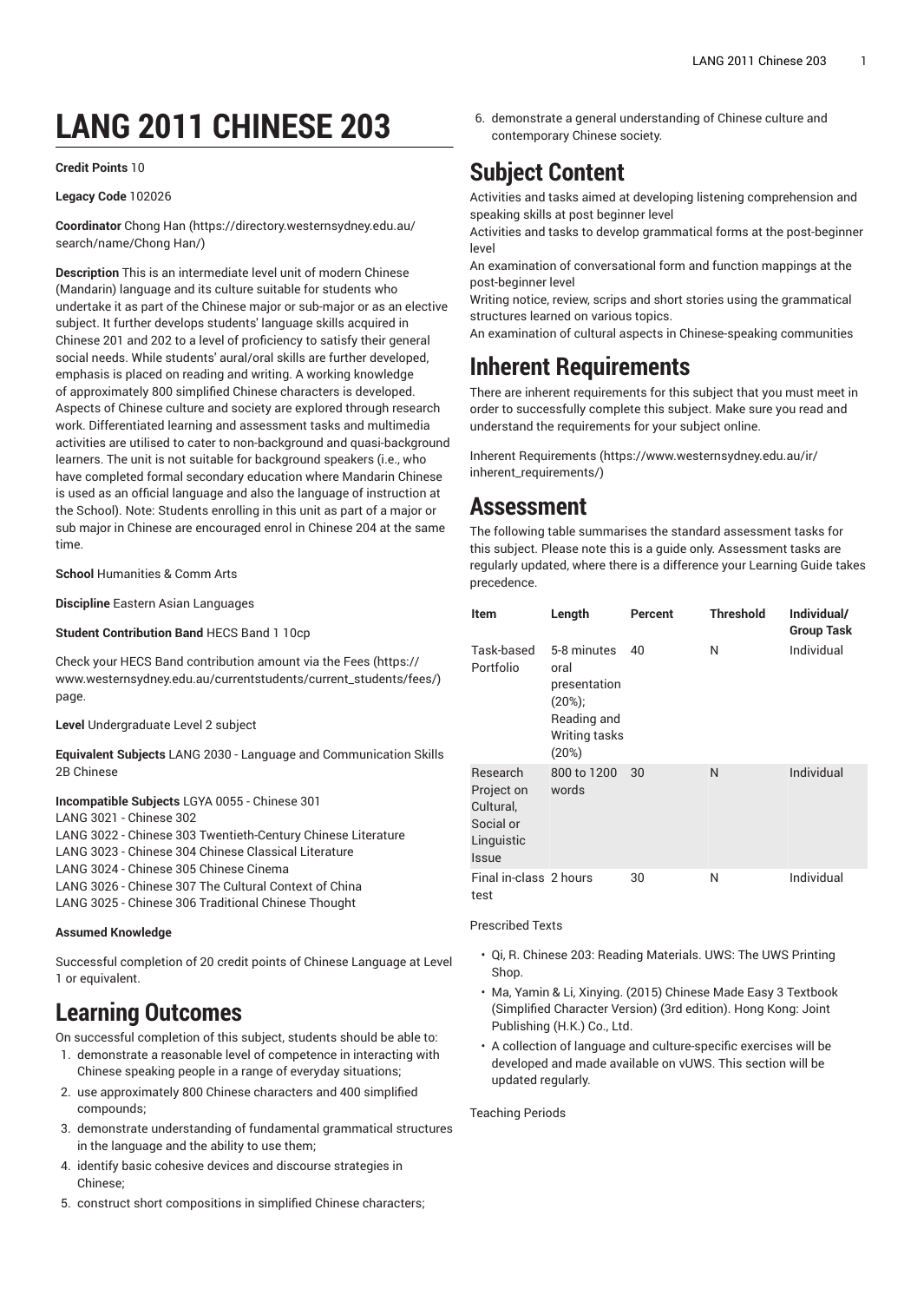# **LANG 2011 CHINESE 203**

#### **Credit Points** 10

#### **Legacy Code** 102026

**Coordinator** [Chong Han](https://directory.westernsydney.edu.au/search/name/Chong Han/) ([https://directory.westernsydney.edu.au/](https://directory.westernsydney.edu.au/search/name/Chong Han/) [search/name/Chong](https://directory.westernsydney.edu.au/search/name/Chong Han/) Han/)

**Description** This is an intermediate level unit of modern Chinese (Mandarin) language and its culture suitable for students who undertake it as part of the Chinese major or sub-major or as an elective subject. It further develops students' language skills acquired in Chinese 201 and 202 to a level of proficiency to satisfy their general social needs. While students' aural/oral skills are further developed, emphasis is placed on reading and writing. A working knowledge of approximately 800 simplified Chinese characters is developed. Aspects of Chinese culture and society are explored through research work. Differentiated learning and assessment tasks and multimedia activities are utilised to cater to non-background and quasi-background learners. The unit is not suitable for background speakers (i.e., who have completed formal secondary education where Mandarin Chinese is used as an official language and also the language of instruction at the School). Note: Students enrolling in this unit as part of a major or sub major in Chinese are encouraged enrol in Chinese 204 at the same time.

**School** Humanities & Comm Arts

**Discipline** Eastern Asian Languages

**Student Contribution Band** HECS Band 1 10cp

Check your HECS Band contribution amount via the [Fees \(https://](https://www.westernsydney.edu.au/currentstudents/current_students/fees/) [www.westernsydney.edu.au/currentstudents/current\\_students/fees/\)](https://www.westernsydney.edu.au/currentstudents/current_students/fees/) page.

**Level** Undergraduate Level 2 subject

**Equivalent Subjects** LANG 2030 - Language and Communication Skills 2B Chinese

**Incompatible Subjects** LGYA 0055 - Chinese 301

[LANG](/search/?P=LANG%203021) 3021 - Chinese 302

[LANG](/search/?P=LANG%203022) 3022 - Chinese 303 Twentieth-Century Chinese Literature

[LANG](/search/?P=LANG%203023) 3023 - Chinese 304 Chinese Classical Literature

[LANG](/search/?P=LANG%203024) 3024 - Chinese 305 Chinese Cinema

[LANG](/search/?P=LANG%203026) 3026 - Chinese 307 The Cultural Context of China

[LANG](/search/?P=LANG%203025) 3025 - Chinese 306 Traditional Chinese Thought

#### **Assumed Knowledge**

Successful completion of 20 credit points of Chinese Language at Level 1 or equivalent.

## **Learning Outcomes**

On successful completion of this subject, students should be able to:

- 1. demonstrate a reasonable level of competence in interacting with Chinese speaking people in a range of everyday situations;
- 2. use approximately 800 Chinese characters and 400 simplified compounds;
- 3. demonstrate understanding of fundamental grammatical structures in the language and the ability to use them;
- 4. identify basic cohesive devices and discourse strategies in Chinese;
- 5. construct short compositions in simplified Chinese characters;

6. demonstrate a general understanding of Chinese culture and contemporary Chinese society.

## **Subject Content**

Activities and tasks aimed at developing listening comprehension and speaking skills at post beginner level

Activities and tasks to develop grammatical forms at the post-beginner level

An examination of conversational form and function mappings at the post-beginner level

Writing notice, review, scrips and short stories using the grammatical structures learned on various topics.

An examination of cultural aspects in Chinese-speaking communities

## **Inherent Requirements**

There are inherent requirements for this subject that you must meet in order to successfully complete this subject. Make sure you read and understand the requirements for your subject online.

Inherent [Requirements](https://www.westernsydney.edu.au/ir/inherent_requirements/) ([https://www.westernsydney.edu.au/ir/](https://www.westernsydney.edu.au/ir/inherent_requirements/) [inherent\\_requirements/](https://www.westernsydney.edu.au/ir/inherent_requirements/))

## **Assessment**

The following table summarises the standard assessment tasks for this subject. Please note this is a guide only. Assessment tasks are regularly updated, where there is a difference your Learning Guide takes precedence.

| Item                                                                    | Length                                                                                     | Percent | <b>Threshold</b> | Individual/<br><b>Group Task</b> |
|-------------------------------------------------------------------------|--------------------------------------------------------------------------------------------|---------|------------------|----------------------------------|
| Task-based<br>Portfolio                                                 | 5-8 minutes<br>oral<br>presentation<br>$(20\%)$ ;<br>Reading and<br>Writing tasks<br>(20%) | 40      | N                | Individual                       |
| Research<br>Project on<br>Cultural,<br>Social or<br>Linguistic<br>Issue | 800 to 1200<br>words                                                                       | 30      | N                | Individual                       |
| Final in-class 2 hours<br>test                                          |                                                                                            | 30      | N                | Individual                       |

#### Prescribed Texts

- Qi, R. Chinese 203: Reading Materials. UWS: The UWS Printing Shop.
- Ma, Yamin & Li, Xinying. (2015) Chinese Made Easy 3 Textbook (Simplified Character Version) (3rd edition). Hong Kong: Joint Publishing (H.K.) Co., Ltd.
- A collection of language and culture-specific exercises will be developed and made available on vUWS. This section will be updated regularly.

Teaching Periods